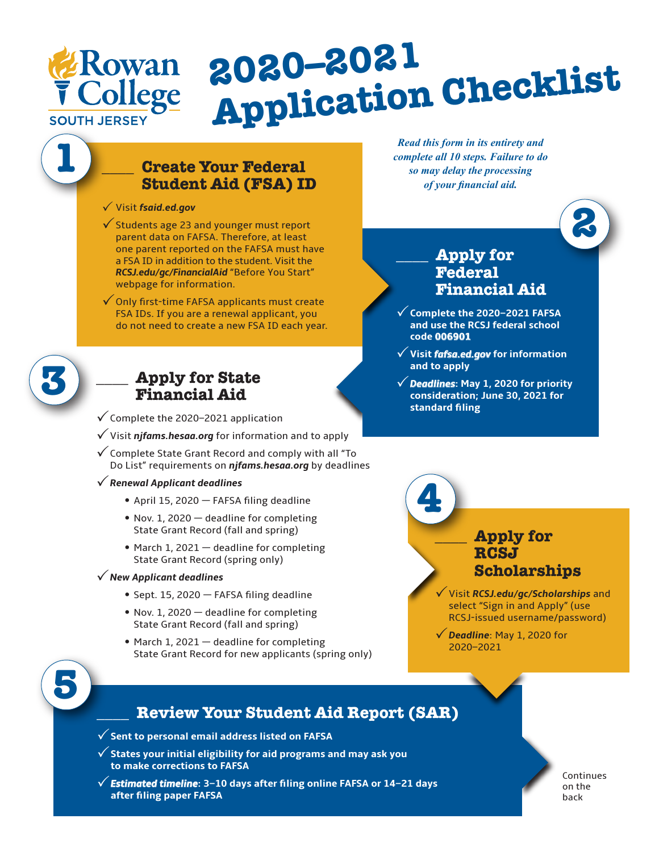

# **2020–2021 Application Checklist**

## **\_\_\_\_ Create Your Federal Student Aid (FSA) ID**

- P Visit *fsaid.ed.gov*
- $\checkmark$  Students age 23 and younger must report parent data on FAFSA. Therefore, at least one parent reported on the FAFSA must have a FSA ID in addition to the student. Visit the *RCSJ.edu/gc/FinancialAid* "Before You Start" webpage for information.
- $\checkmark$  Only first-time FAFSA applicants must create FSA IDs. If you are a renewal applicant, you do not need to create a new FSA ID each year.

**3**

**1**

# **\_\_\_\_ Apply for State Financial Aid**

- $\checkmark$  Complete the 2020–2021 application
- $\sqrt{ }$  Visit *njfams.hesaa.org* for information and to apply
- $\checkmark$  Complete State Grant Record and comply with all "To Do List" requirements on *njfams.hesaa.org* by deadlines

#### P*Renewal Applicant deadlines*

- • April 15, <sup>2020</sup> FAFSA filing deadline
- Nov. 1, 2020 deadline for completing State Grant Record (fall and spring)
- March 1, 2021 deadline for completing State Grant Record (spring only)

#### P*New Applicant deadlines*

- Sept. 15, 2020 FAFSA filing deadline
- Nov. 1, 2020 deadline for completing State Grant Record (fall and spring)
- $\bullet$  March 1, 2021  $-$  deadline for completing State Grant Record for new applicants (spring only)

*Read this form in its entirety and complete all 10 steps. Failure to do so may delay the processing of your financial aid.*



#### **\_\_\_\_ Apply for Federal Financial Aid**

- P**Complete the 2020–2021 FAFSA and use the RCSJ federal school code 006901**
- P**Visit** *fafsa.ed.gov* **for information and to apply**
- P*Deadlines***: May 1, 2020 for priority consideration; June 30, 2021 for standard filing**



PVisit *RCSJ.edu/gc/Scholarships* and select "Sign in and Apply" (use RCSJ-issued username/password)

P*Deadline*: May 1, 2020 for 2020–2021



# **\_\_\_\_ Review Your Student Aid Report (SAR)**

- P**Sent to personal email address listed on FAFSA**
- P**States your initial eligibility for aid programs and may ask you to make corrections to FAFSA**
- P*Estimated timeline***: 3–10 days after filing online FAFSA or 14–21 days after filing paper FAFSA**

Continues on the back